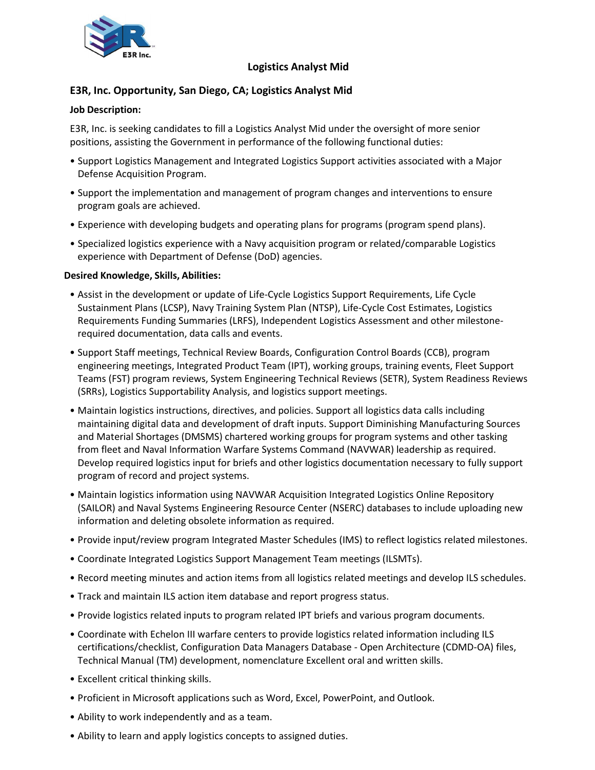

## **Logistics Analyst Mid**

# **E3R, Inc. Opportunity, San Diego, CA; Logistics Analyst Mid**

### **Job Description:**

E3R, Inc. is seeking candidates to fill a Logistics Analyst Mid under the oversight of more senior positions, assisting the Government in performance of the following functional duties:

- Support Logistics Management and Integrated Logistics Support activities associated with a Major Defense Acquisition Program.
- Support the implementation and management of program changes and interventions to ensure program goals are achieved.
- Experience with developing budgets and operating plans for programs (program spend plans).
- Specialized logistics experience with a Navy acquisition program or related/comparable Logistics experience with Department of Defense (DoD) agencies.

#### **Desired Knowledge, Skills, Abilities:**

- Assist in the development or update of Life-Cycle Logistics Support Requirements, Life Cycle Sustainment Plans (LCSP), Navy Training System Plan (NTSP), Life-Cycle Cost Estimates, Logistics Requirements Funding Summaries (LRFS), Independent Logistics Assessment and other milestonerequired documentation, data calls and events.
- Support Staff meetings, Technical Review Boards, Configuration Control Boards (CCB), program engineering meetings, Integrated Product Team (IPT), working groups, training events, Fleet Support Teams (FST) program reviews, System Engineering Technical Reviews (SETR), System Readiness Reviews (SRRs), Logistics Supportability Analysis, and logistics support meetings.
- Maintain logistics instructions, directives, and policies. Support all logistics data calls including maintaining digital data and development of draft inputs. Support Diminishing Manufacturing Sources and Material Shortages (DMSMS) chartered working groups for program systems and other tasking from fleet and Naval Information Warfare Systems Command (NAVWAR) leadership as required. Develop required logistics input for briefs and other logistics documentation necessary to fully support program of record and project systems.
- Maintain logistics information using NAVWAR Acquisition Integrated Logistics Online Repository (SAILOR) and Naval Systems Engineering Resource Center (NSERC) databases to include uploading new information and deleting obsolete information as required.
- Provide input/review program Integrated Master Schedules (IMS) to reflect logistics related milestones.
- Coordinate Integrated Logistics Support Management Team meetings (ILSMTs).
- Record meeting minutes and action items from all logistics related meetings and develop ILS schedules.
- Track and maintain ILS action item database and report progress status.
- Provide logistics related inputs to program related IPT briefs and various program documents.
- Coordinate with Echelon III warfare centers to provide logistics related information including ILS certifications/checklist, Configuration Data Managers Database - Open Architecture (CDMD-OA) files, Technical Manual (TM) development, nomenclature Excellent oral and written skills.
- Excellent critical thinking skills.
- Proficient in Microsoft applications such as Word, Excel, PowerPoint, and Outlook.
- Ability to work independently and as a team.
- Ability to learn and apply logistics concepts to assigned duties.